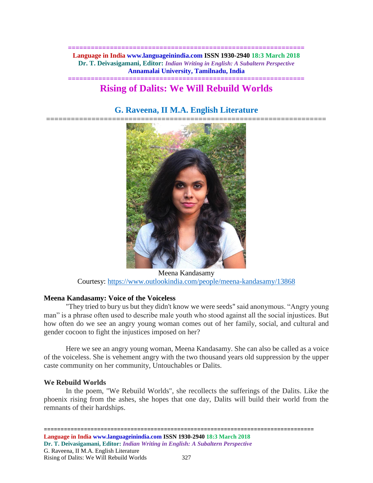**============================================================== Language in India www.languageinindia.com ISSN 1930-2940 18:3 March 2018 Dr. T. Deivasigamani, Editor:** *Indian Writing in English: A Subaltern Perspective* **Annamalai University, Tamilnadu, India**

## **============================================================== Rising of Dalits: We Will Rebuild Worlds**

# **G. Raveena, II M.A. English Literature**



Meena Kandasamy Courtesy:<https://www.outlookindia.com/people/meena-kandasamy/13868>

## **Meena Kandasamy: Voice of the Voiceless**

"They tried to bury us but they didn't know we were seeds" said anonymous. "Angry young man" is a phrase often used to describe male youth who stood against all the social injustices. But how often do we see an angry young woman comes out of her family, social, and cultural and gender cocoon to fight the injustices imposed on her?

Here we see an angry young woman, Meena Kandasamy. She can also be called as a voice of the voiceless. She is vehement angry with the two thousand years old suppression by the upper caste community on her community, Untouchables or Dalits.

## **We Rebuild Worlds**

In the poem, "We Rebuild Worlds", she recollects the sufferings of the Dalits. Like the phoenix rising from the ashes, she hopes that one day, Dalits will build their world from the remnants of their hardships.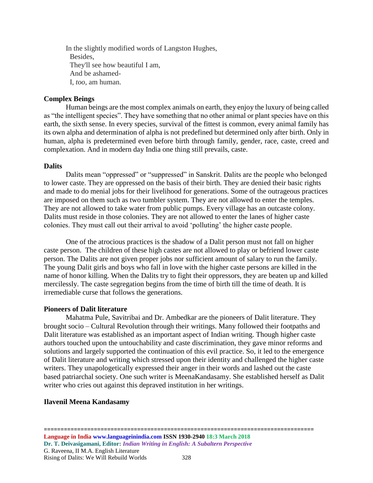In the slightly modified words of Langston Hughes, Besides, They'll see how beautiful I am, And be ashamed-I, *too*, am human.

## **Complex Beings**

Human beings are the most complex animals on earth, they enjoy the luxury of being called as "the intelligent species". They have something that no other animal or plant species have on this earth, the sixth sense. In every species, survival of the fittest is common, every animal family has its own alpha and determination of alpha is not predefined but determined only after birth. Only in human, alpha is predetermined even before birth through family, gender, race, caste, creed and complexation. And in modern day India one thing still prevails, caste.

#### **Dalits**

Dalits mean "oppressed" or "suppressed" in Sanskrit. Dalits are the people who belonged to lower caste. They are oppressed on the basis of their birth. They are denied their basic rights and made to do menial jobs for their livelihood for generations. Some of the outrageous practices are imposed on them such as two tumbler system. They are not allowed to enter the temples. They are not allowed to take water from public pumps. Every village has an outcaste colony. Dalits must reside in those colonies. They are not allowed to enter the lanes of higher caste colonies. They must call out their arrival to avoid 'polluting' the higher caste people.

One of the atrocious practices is the shadow of a Dalit person must not fall on higher caste person. The children of these high castes are not allowed to play or befriend lower caste person. The Dalits are not given proper jobs nor sufficient amount of salary to run the family. The young Dalit girls and boys who fall in love with the higher caste persons are killed in the name of honor killing. When the Dalits try to fight their oppressors, they are beaten up and killed mercilessly. The caste segregation begins from the time of birth till the time of death. It is irremediable curse that follows the generations.

## **Pioneers of Dalit literature**

Mahatma Pule, Savitribai and Dr. Ambedkar are the pioneers of Dalit literature. They brought socio – Cultural Revolution through their writings. Many followed their footpaths and Dalit literature was established as an important aspect of Indian writing. Though higher caste authors touched upon the untouchability and caste discrimination, they gave minor reforms and solutions and largely supported the continuation of this evil practice. So, it led to the emergence of Dalit literature and writing which stressed upon their identity and challenged the higher caste writers. They unapologetically expressed their anger in their words and lashed out the caste based patriarchal society. One such writer is MeenaKandasamy. She established herself as Dalit writer who cries out against this depraved institution in her writings.

## **Ilavenil Meena Kandasamy**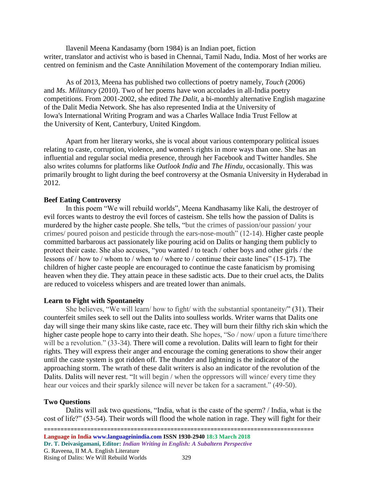Ilavenil Meena Kandasamy (born 1984) is an [Indian](https://en.wikipedia.org/wiki/India) [poet,](https://en.wikipedia.org/wiki/Poet) fiction writer, [translator](https://en.wikipedia.org/wiki/Translator) and [activist](https://en.wikipedia.org/wiki/Activist) who is based in [Chennai,](https://en.wikipedia.org/wiki/Chennai) [Tamil Nadu,](https://en.wikipedia.org/wiki/Tamil_Nadu) India. Most of her works are centred on [feminism](https://en.wikipedia.org/wiki/Feminism) and the Caste Annihilation Movement of the contemporary Indian milieu.

As of 2013, Meena has published two collections of poetry namely, *Touch* (2006) and *Ms. Militancy* (2010). Two of her poems have won accolades in all-India poetry competitions. From 2001-2002, she edited *The Dalit*, a bi-monthly alternative English magazine of the Dalit Media Network. She has also represented India at the [University of](https://en.wikipedia.org/wiki/University_of_Iowa)  [Iowa'](https://en.wikipedia.org/wiki/University_of_Iowa)s [International Writing Program](https://en.wikipedia.org/wiki/International_Writing_Program) and was a Charles Wallace India Trust Fellow at the [University of Kent,](https://en.wikipedia.org/wiki/University_of_Kent) [Canterbury,](https://en.wikipedia.org/wiki/Canterbury) United Kingdom.

Apart from her literary works, she is vocal about various contemporary political issues relating to caste, corruption, violence, and women's rights in more ways than one. She has an influential and regular social media presence, through her Facebook and Twitter handles. She also writes columns for platforms like *Outlook India* and *The Hindu*, occasionally. This was primarily brought to light during the beef controversy at the Osmania University in Hyderabad in 2012.

#### **Beef Eating Controversy**

In this poem "We will rebuild worlds", Meena Kandhasamy like Kali, the destroyer of evil forces wants to destroy the evil forces of casteism. She tells how the passion of Dalits is murdered by the higher caste people. She tells, "but the crimes of passion/our passion/ your crimes/ poured poison and pesticide through the ears-nose-mouth" (12-14). Higher caste people committed barbarous act passionately like pouring acid on Dalits or hanging them publicly to protect their caste. She also accuses, "you wanted / to teach / other boys and other girls / the lessons of / how to / whom to / when to / where to / continue their caste lines" (15-17). The children of higher caste people are encouraged to continue the caste fanaticism by promising heaven when they die. They attain peace in these sadistic acts. Due to their cruel acts, the Dalits are reduced to voiceless whispers and are treated lower than animals.

#### **Learn to Fight with Spontaneity**

She believes, "We will learn/ how to fight/ with the substantial spontaneity/" (31). Their counterfeit smiles seek to sell out the Dalits into soulless worlds. Writer warns that Dalits one day will singe their many skins like caste, race etc. They will burn their filthy rich skin which the higher caste people hope to carry into their death. She hopes, "So / now/ upon a future time/there will be a revolution." (33-34). There will come a revolution. Dalits will learn to fight for their rights. They will express their anger and encourage the coming generations to show their anger until the caste system is got ridden off. The thunder and lightning is the indicator of the approaching storm. The wrath of these dalit writers is also an indicator of the revolution of the Dalits. Dalits will never rest. "It will begin / when the oppressors will wince/ every time they hear our voices and their sparkly silence will never be taken for a sacrament." (49-50).

#### **Two Questions**

Dalits will ask two questions, "India, what is the caste of the sperm? / India, what is the cost of life?" (53-54). Their words will flood the whole nation in rage. They will fight for their